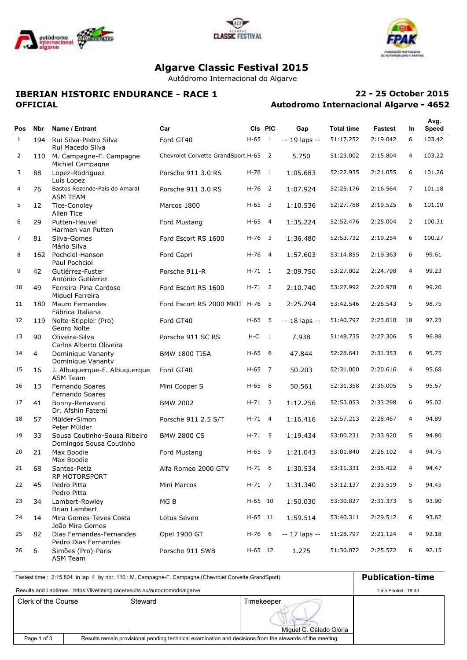





# **Algarve Classic Festival 2015**

Autódromo Internacional do Algarve

## **IBERIAN HISTORIC ENDURANCE - RACE 1 OFFICIAL**

## **Autodromo Internacional Algarve - 4652 22 - 25 October 2015**

|              |                |                                                         |                                      |            |                          |               |                   |          |                | Avg.   |
|--------------|----------------|---------------------------------------------------------|--------------------------------------|------------|--------------------------|---------------|-------------------|----------|----------------|--------|
| Pos          | Nbr            | Name / Entrant                                          | Car                                  |            | CIs PIC                  | Gap           | <b>Total time</b> | Fastest  | In.            | Speed  |
| $\mathbf{1}$ | 194            | Rui Silva-Pedro Silva<br>Rui Macedo Silva               | Ford GT40                            | $H-65$     | 1                        | -- 19 laps -- | 51:17.252         | 2:19.042 | 6              | 103.42 |
| 2            | 110            | M. Campagne-F. Campagne<br>Michiel Campagne             | Chevrolet Corvette GrandSport H-65 2 |            |                          | 5.750         | 51:23.002         | 2:15.804 | 4              | 103.22 |
| 3            | 88             | Lopez-Rodriguez<br>Luis Lopez                           | Porsche 911 3.0 RS                   | $H-76$ 1   |                          | 1:05.683      | 52:22.935         | 2:21.055 | 6              | 101.26 |
| 4            | 76             | Bastos Rezende-Pais do Amaral<br><b>ASM TEAM</b>        | Porsche 911 3.0 RS                   | H-76       | $\overline{\phantom{0}}$ | 1:07.924      | 52:25.176         | 2:16.564 | $\overline{7}$ | 101.18 |
| 5            | 12             | Tice-Conoley<br>Allen Tice                              | Marcos 1800                          | $H-65$ 3   |                          | 1:10.536      | 52:27.788         | 2:19.525 | 6              | 101.10 |
| 6            | 29             | Putten-Heuvel<br>Harmen van Putten                      | Ford Mustang                         | $H-65$ 4   |                          | 1:35.224      | 52:52.476         | 2:25.004 | $\overline{2}$ | 100.31 |
| 7            | 81             | Silva-Gomes<br>Mário Silva                              | Ford Escort RS 1600                  | $H - 76$ 3 |                          | 1:36.480      | 52:53.732         | 2:19.254 | 6              | 100.27 |
| 8            | 162            | Pochciol-Hanson<br>Paul Pochciol                        | Ford Capri                           | $H-76$ 4   |                          | 1:57.603      | 53:14.855         | 2:19.363 | 6              | 99.61  |
| 9            | 42             | Gutiérrez-Fuster<br>António Gutiérrez                   | Porsche 911-R                        | $H - 71$ 1 |                          | 2:09.750      | 53:27.002         | 2:24.798 | 4              | 99.23  |
| 10           | 49             | Ferreira-Pina Cardoso<br>Miguel Ferreira                | Ford Escort RS 1600                  | $H - 71$ 2 |                          | 2:10.740      | 53:27.992         | 2:20.978 | 6              | 99.20  |
| 11           | 180            | Mauro Fernandes<br>Fábrica Italiana                     | Ford Escort RS 2000 MKII H-76 5      |            |                          | 2:25.294      | 53:42.546         | 2:26.543 | 5              | 98.75  |
| 12           | 119            | Nolte-Stippler (Pro)<br>Georg Nolte                     | Ford GT40                            | H-65       | - 5                      | -- 18 laps -- | 51:40.797         | 2:23.010 | 18             | 97.23  |
| 13           | 90             | Oliveira-Silva<br>Carlos Alberto Oliveira               | Porsche 911 SC RS                    | $H-C$      | $\overline{1}$           | 7.938         | 51:48.735         | 2:27.306 | 5              | 96.98  |
| 14           | $\overline{4}$ | Dominique Vananty<br>Dominique Vananty                  | <b>BMW 1800 TISA</b>                 | $H-65$ 6   |                          | 47.844        | 52:28.641         | 2:31.353 | 6              | 95.75  |
| 15           | 16             | J. Albuquerque-F. Albuquerque<br><b>ASM Team</b>        | Ford GT40                            | $H-65$ 7   |                          | 50.203        | 52:31.000         | 2:20.616 | 4              | 95.68  |
| 16           | 13             | Fernando Soares<br>Fernando Soares                      | Mini Cooper S                        | $H-65$ 8   |                          | 50.561        | 52:31.358         | 2:35.005 | 5              | 95.67  |
| 17           | 41             | Bonny-Renavand<br>Dr. Afshin Fatemi                     | <b>BMW 2002</b>                      | $H - 71$ 3 |                          | 1:12.256      | 52:53.053         | 2:33.298 | 6              | 95.02  |
| 18           | 57             | Mülder-Simon<br>Peter Mülder                            | Porsche 911 2.5 S/T                  | $H - 71$ 4 |                          | 1:16.416      | 52:57.213         | 2:28.467 | 4              | 94.89  |
| 19           | 33             | Sousa Coutinho-Sousa Ribeiro<br>Domingos Sousa Coutinho | <b>BMW 2800 CS</b>                   | $H - 71$ 5 |                          | 1:19.434      | 53:00.231         | 2:33.920 | 5              | 94.80  |
| 20           | 21             | Max Boodie<br>Max Boodie                                | Ford Mustang                         | $H-65$ 9   |                          | 1:21.043      | 53:01.840         | 2:26.102 | 4              | 94.75  |
| 21           | 68             | Santos-Petiz<br>RP MOTORSPORT                           | Alfa Romeo 2000 GTV                  | $H-71$     | - 6                      | 1:30.534      | 53:11.331         | 2:36.422 | 4              | 94.47  |
| 22           | 45             | Pedro Pitta<br>Pedro Pitta                              | Mini Marcos                          | H-71 7     |                          | 1:31.340      | 53:12.137         | 2:33.519 | 5              | 94.45  |
| 23           | 34             | Lambert-Rowley<br><b>Brian Lambert</b>                  | MG B                                 | H-65 10    |                          | 1:50.030      | 53:30.827         | 2:31.373 | 5              | 93.90  |
| 24           | 14             | Mira Gomes-Teves Costa<br>João Mira Gomes               | Lotus Seven                          | H-65 11    |                          | 1:59.514      | 53:40.311         | 2:29.512 | 6              | 93.62  |
| 25           | 82             | Dias Fernandes-Fernandes<br>Pedro Dias Fernandes        | Opel 1900 GT                         | H-76 6     |                          | -- 17 laps -- | 51:28.797         | 2:21.124 | 4              | 92.18  |
| 26           | 6              | Simões (Pro)-Paris<br><b>ASM Team</b>                   | Porsche 911 SWB                      | H-65 12    |                          | 1.275         | 51:30.072         | 2:25.572 | 6              | 92.15  |

| Fastest time: 2:15.804 in lap 4 by nbr. 110: M. Campagne-F. Campagne (Chevrolet Corvette GrandSport) | <b>Publication-time</b>                                                                                 |         |                         |  |
|------------------------------------------------------------------------------------------------------|---------------------------------------------------------------------------------------------------------|---------|-------------------------|--|
| Results and Laptimes : https://livetiming.raceresults.nu/autodromodoalgarve                          | Time Printed: 19:43                                                                                     |         |                         |  |
| Clerk of the Course                                                                                  |                                                                                                         | Steward | Timekeeper              |  |
|                                                                                                      |                                                                                                         |         | Miquel C. Calado Glória |  |
| Page 1 of 3                                                                                          | Results remain provisional pending technical examination and decisions from the stewards of the meeting |         |                         |  |